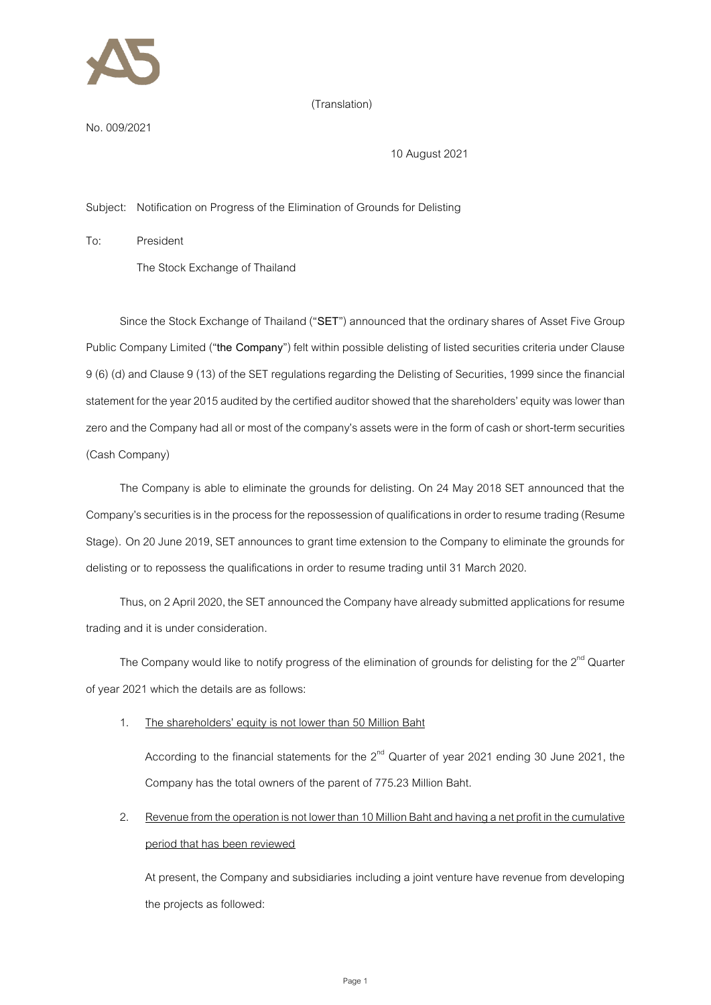

## (Translation)

No.009/2021

10 August 2021

Subject: Notification on Progress of the Elimination of Grounds for Delisting

To: President

The Stock Exchange of Thailand

Since the Stock Exchange of Thailand ("**SET**") announced that the ordinary shares of Asset Five Group Public Company Limited ("the Company") felt within possible delisting of listed securities criteria under Clause 9 (6) (d) and Clause 9 (13) of the SET regulations regarding the Delisting of Securities, 1999since the financial statement for the year 2015 audited by the certified auditor showed that the shareholders' equity waslower than zero and the Company had all or most of the company's assets were in the form of cash or short-term securities (Cash Company)

The Company is able to eliminate the grounds for delisting. On 24 May 2018 SET announced that the Company's securities is in the process for the repossession of qualifications in order to resume trading (Resume Stage). On 20 June 2019, SET announces to grant time extension to the Company to eliminate the grounds for delisting or to repossess the qualifications in order to resume trading until 31 March 2020.

Thus, on 2 April 2020, the SET announced the Company have already submitted applications for resume trading and it is under consideration.

The Company would like to notify progress of the elimination of grounds for delisting for the 2<sup>nd</sup> Quarter of year 2021 which the details are as follows:

## 1. The shareholders' equity is not lower than 50 Million Baht

According to the financial statements for the  $2^{nd}$  Quarter of year 2021 ending 30 June 2021, the Company has the total owners of the parent of 775.23 Million Baht.

2. Revenue from the operation is not lower than 10 Million Bahtand having a net profit in the cumulative period that has been reviewed

At present, the Company and subsidiaries including a joint venture have revenue from developing the projects as followed: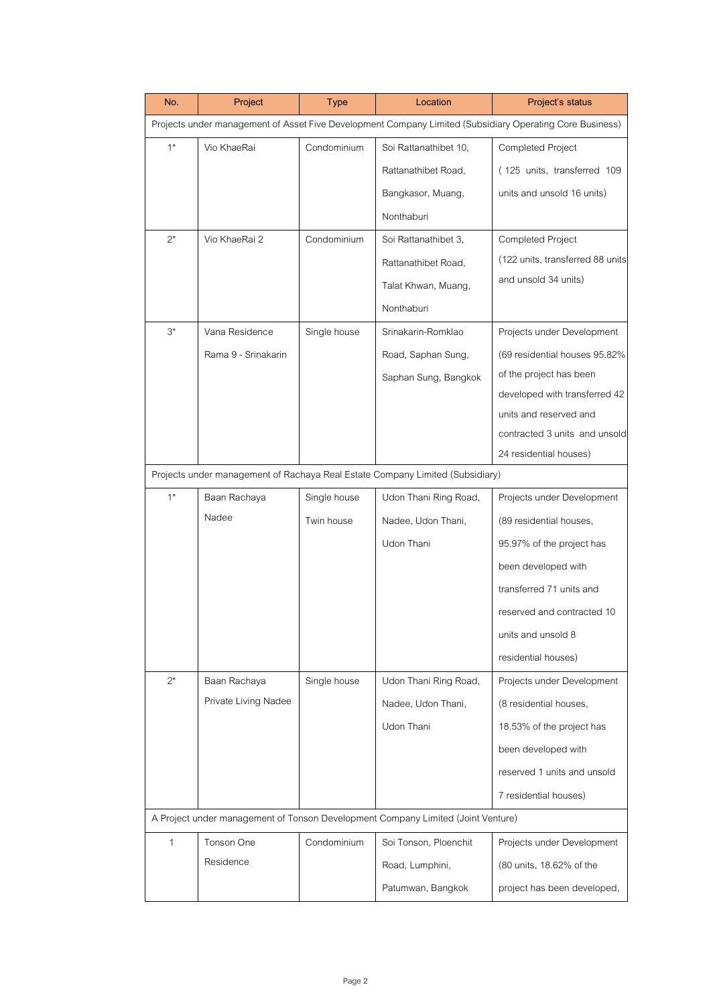| No.                                                                                                      | Project              | Type         | Location              | Project's status                 |  |  |  |
|----------------------------------------------------------------------------------------------------------|----------------------|--------------|-----------------------|----------------------------------|--|--|--|
| Projects under management of Asset Five Development Company Limited (Subsidiary Operating Core Business) |                      |              |                       |                                  |  |  |  |
| $1^*$                                                                                                    | Vio KhaeRai          | Condominium  | Soi Rattanathibet 10, | Completed Project                |  |  |  |
|                                                                                                          |                      |              | Rattanathibet Road,   | (125 units, transferred 109      |  |  |  |
|                                                                                                          |                      |              | Bangkasor, Muang,     | units and unsold 16 units)       |  |  |  |
|                                                                                                          |                      |              | Nonthaburi            |                                  |  |  |  |
| $2^*$                                                                                                    | Vio KhaeRai 2        | Condominium  | Soi Rattanathibet 3,  | <b>Completed Project</b>         |  |  |  |
|                                                                                                          |                      |              | Rattanathibet Road,   | (122 units, transferred 88 units |  |  |  |
|                                                                                                          |                      |              | Talat Khwan, Muang,   | and unsold 34 units)             |  |  |  |
|                                                                                                          |                      |              | Nonthaburi            |                                  |  |  |  |
| $3^*$                                                                                                    | Vana Residence       | Single house | Srinakarin-Romklao    | Projects under Development       |  |  |  |
|                                                                                                          | Rama 9 - Srinakarin  |              | Road, Saphan Sung,    | (69 residential houses 95.82%)   |  |  |  |
|                                                                                                          |                      |              | Saphan Sung, Bangkok  | of the project has been          |  |  |  |
|                                                                                                          |                      |              |                       | developed with transferred 42    |  |  |  |
|                                                                                                          |                      |              |                       | units and reserved and           |  |  |  |
|                                                                                                          |                      |              |                       | contracted 3 units and unsold    |  |  |  |
|                                                                                                          |                      |              |                       | 24 residential houses)           |  |  |  |
| Projects under management of Rachaya Real Estate Company Limited (Subsidiary)                            |                      |              |                       |                                  |  |  |  |
| $1^*$                                                                                                    | Baan Rachaya         | Single house | Udon Thani Ring Road, | Projects under Development       |  |  |  |
|                                                                                                          | Nadee                | Twin house   | Nadee, Udon Thani,    | (89 residential houses,          |  |  |  |
|                                                                                                          |                      |              | Udon Thani            | 95.97% of the project has        |  |  |  |
|                                                                                                          |                      |              |                       | been developed with              |  |  |  |
|                                                                                                          |                      |              |                       | transferred 71 units and         |  |  |  |
|                                                                                                          |                      |              |                       | reserved and contracted 10       |  |  |  |
|                                                                                                          |                      |              |                       | units and unsold 8               |  |  |  |
|                                                                                                          |                      |              |                       | residential houses)              |  |  |  |
| $2^*$                                                                                                    | Baan Rachaya         | Single house | Udon Thani Ring Road, | Projects under Development       |  |  |  |
|                                                                                                          | Private Living Nadee |              | Nadee, Udon Thani,    | (8 residential houses,           |  |  |  |
|                                                                                                          |                      |              | Udon Thani            | 18.53% of the project has        |  |  |  |
|                                                                                                          |                      |              |                       | been developed with              |  |  |  |
|                                                                                                          |                      |              |                       | reserved 1 units and unsold      |  |  |  |
|                                                                                                          |                      |              |                       | 7 residential houses)            |  |  |  |
| A Project under management of Tonson Development Company Limited (Joint Venture)                         |                      |              |                       |                                  |  |  |  |
| 1                                                                                                        | Tonson One           | Condominium  | Soi Tonson, Ploenchit | Projects under Development       |  |  |  |
|                                                                                                          | Residence            |              | Road, Lumphini,       | (80 units, 18.62% of the         |  |  |  |
|                                                                                                          |                      |              | Patumwan, Bangkok     | project has been developed,      |  |  |  |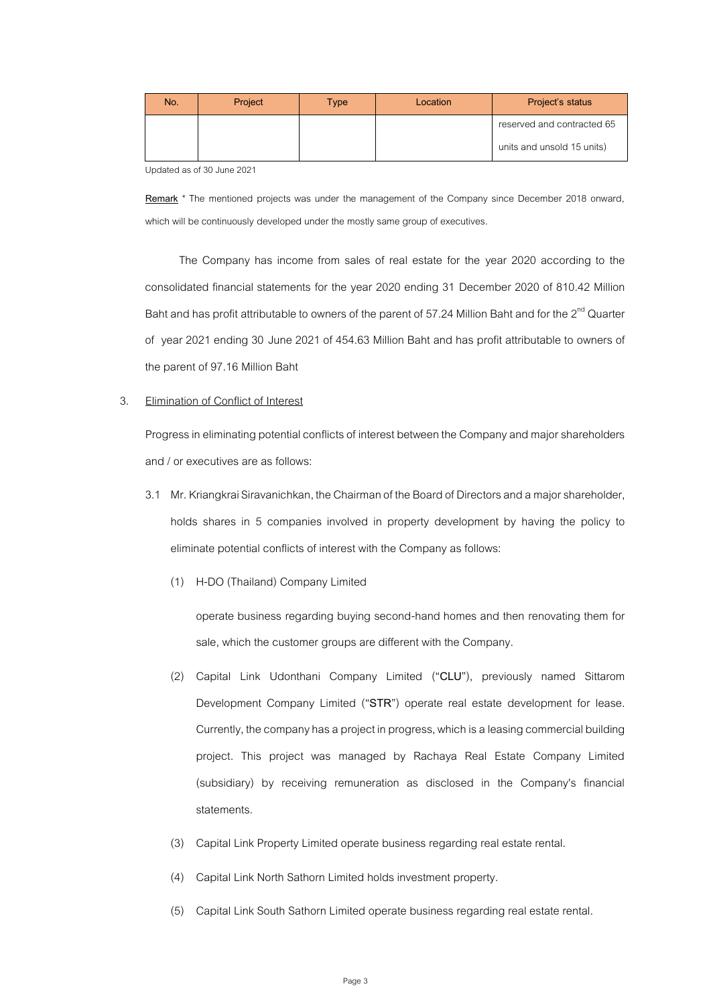| No. | Project | <b>Type</b> | Location | Project's status           |
|-----|---------|-------------|----------|----------------------------|
|     |         |             |          | reserved and contracted 65 |
|     |         |             |          | units and unsold 15 units) |

Updated as of 30 June 2021

**Remark** \* The mentioned projects was under the management of the Company since December 2018 onward, which will be continuously developed under the mostly same group of executives.

The Company has income from sales of real estate for the year 2020 according to the consolidated financial statements for the year 2020 ending 31 December 2020 of 810.42 Million Baht and has profit attributable to owners of the parent of 57.24 Million Baht and for the  $2^{\text{nd}}$  Quarter of year 2021 ending 30 June 2021 of 454.63 Million Baht and has profit attributable to owners of the parent of 97.16 Million Baht

## 3. Elimination of Conflict of Interest

Progress in eliminating potential conflicts of interest between the Company and major shareholders and / or executives are as follows:

- 3.1 Mr. Kriangkrai Siravanichkan, the Chairman of the Board of Directorsand a major shareholder, holds shares in 5 companies involved in property development by having the policy to eliminate potential conflicts of interest with the Company as follows:
	- (1) H-DO (Thailand) Company Limited

operate business regarding buying second-hand homes and then renovating them for sale, which the customer groups are different with the Company.

- (2) Capital Link Udonthani Company Limited ("**CLU**"), previously named Sittarom Development Company Limited ("**STR**") operate real estate development for lease. Currently, the company has a project in progress, which is a leasing commercial building project. This project was managed by Rachaya Real Estate Company Limited (subsidiary) by receiving remuneration as disclosed in the Company's financial statements.
- (3) Capital Link Property Limited operate business regarding real estate rental.
- (4) Capital Link North Sathorn Limited holds investment property.
- (5) Capital Link South Sathorn Limited operate business regarding real estate rental.